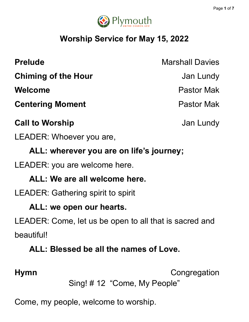

# **Worship Service for May 15, 2022**

| <b>Prelude</b>                           | <b>Marshall Davies</b> |
|------------------------------------------|------------------------|
| <b>Chiming of the Hour</b>               | Jan Lundy              |
| Welcome                                  | <b>Pastor Mak</b>      |
| <b>Centering Moment</b>                  | <b>Pastor Mak</b>      |
| <b>Call to Worship</b>                   | Jan Lundy              |
| LEADER: Whoever you are,                 |                        |
| ALL: wherever you are on life's journey; |                        |
| LEADER: you are welcome here.            |                        |
| ALL: We are all welcome here.            |                        |

LEADER: Gathering spirit to spirit

#### **ALL: we open our hearts.**

LEADER: Come, let us be open to all that is sacred and beautiful!

# **ALL: Blessed be all the names of Love.**

**Hymn** Congregation

Sing! # 12 "Come, My People"

Come, my people, welcome to worship.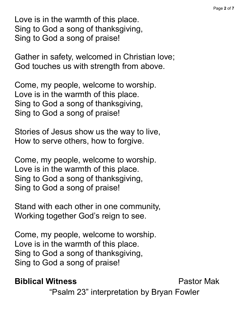Love is in the warmth of this place. Sing to God a song of thanksgiving, Sing to God a song of praise!

Gather in safety, welcomed in Christian love; God touches us with strength from above.

Come, my people, welcome to worship. Love is in the warmth of this place. Sing to God a song of thanksgiving, Sing to God a song of praise!

Stories of Jesus show us the way to live, How to serve others, how to forgive.

Come, my people, welcome to worship. Love is in the warmth of this place. Sing to God a song of thanksgiving, Sing to God a song of praise!

Stand with each other in one community, Working together God's reign to see.

Come, my people, welcome to worship. Love is in the warmth of this place. Sing to God a song of thanksgiving, Sing to God a song of praise!

### **Biblical Witness** Pastor Mak

"Psalm 23" interpretation by Bryan Fowler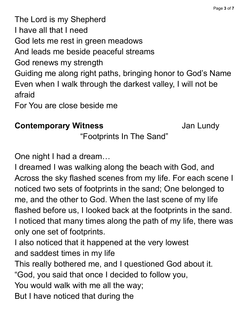The Lord is my Shepherd I have all that I need God lets me rest in green meadows And leads me beside peaceful streams God renews my strength Guiding me along right paths, bringing honor to God's Name Even when I walk through the darkest valley, I will not be afraid For You are close beside me

## **Contemporary Witness** Jan Lundy

"Footprints In The Sand"

One night I had a dream…

I dreamed I was walking along the beach with God, and Across the sky flashed scenes from my life. For each scene I noticed two sets of footprints in the sand; One belonged to me, and the other to God. When the last scene of my life flashed before us, I looked back at the footprints in the sand. I noticed that many times along the path of my life, there was only one set of footprints.

I also noticed that it happened at the very lowest and saddest times in my life

This really bothered me, and I questioned God about it.

"God, you said that once I decided to follow you,

You would walk with me all the way;

But I have noticed that during the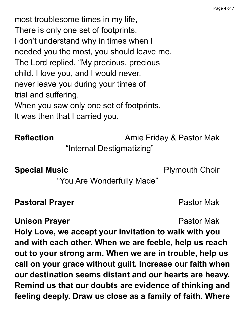most troublesome times in my life, There is only one set of footprints. I don't understand why in times when I needed you the most, you should leave me. The Lord replied, "My precious, precious child. I love you, and I would never, never leave you during your times of trial and suffering. When you saw only one set of footprints, It was then that I carried you.

**Reflection Amie Friday & Pastor Mak** "Internal Destigmatizing"

**Special Music Plymouth Choir** 

"You Are Wonderfully Made"

**Pastoral Prayer Pastor Mak** 

**Unison Prayer Pastor Mak** 

**Holy Love, we accept your invitation to walk with you and with each other. When we are feeble, help us reach out to your strong arm. When we are in trouble, help us call on your grace without guilt. Increase our faith when our destination seems distant and our hearts are heavy. Remind us that our doubts are evidence of thinking and feeling deeply. Draw us close as a family of faith. Where**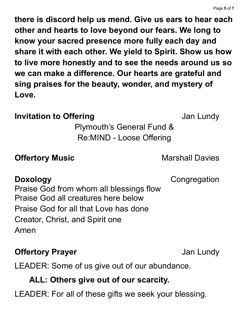**there is discord help us mend. Give us ears to hear each other and hearts to love beyond our fears. We long to know your sacred presence more fully each day and share it with each other. We yield to Spirit. Show us how to live more honestly and to see the needs around us so we can make a difference. Our hearts are grateful and sing praises for the beauty, wonder, and mystery of Love.**

#### **Invitation to Offering Community Community Community** Jan Lundy

Plymouth's General Fund & Re:MIND - Loose Offering

#### **Offertory Music Marshall Davies**

### **Doxology** Congregation

Praise God from whom all blessings flow Praise God all creatures here below Praise God for all that Love has done Creator, Christ, and Spirit one Amen

# **Offertory Prayer Contract Contract Contract Contract Contract Contract Contract Contract Contract Contract Contract Contract Contract Contract Contract Contract Contract Contract Contract Contract Contract Contract Cont**

LEADER: Some of us give out of our abundance.

# **ALL: Others give out of our scarcity.**

LEADER: For all of these gifts we seek your blessing.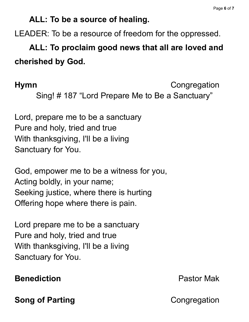# **ALL: To be a source of healing.**

LEADER: To be a resource of freedom for the oppressed.

**ALL: To proclaim good news that all are loved and cherished by God.**

**Hymn** Congregation Sing! # 187 "Lord Prepare Me to Be a Sanctuary"

Lord, prepare me to be a sanctuary Pure and holy, tried and true With thanksgiving, I'll be a living Sanctuary for You.

God, empower me to be a witness for you, Acting boldly, in your name; Seeking justice, where there is hurting Offering hope where there is pain.

Lord prepare me to be a sanctuary Pure and holy, tried and true With thanksgiving, I'll be a living Sanctuary for You.

### **Benediction Pastor Mak**

**Song of Parting** Congregation